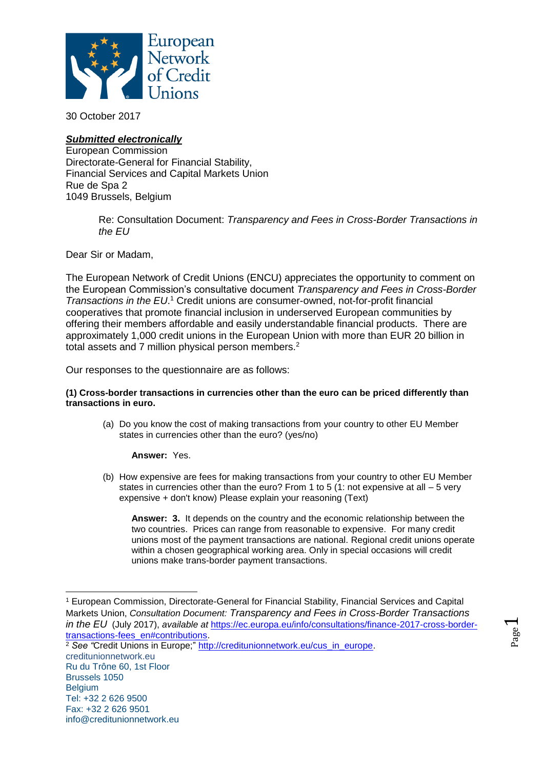

30 October 2017

# *Submitted electronically*

European Commission Directorate-General for Financial Stability, Financial Services and Capital Markets Union Rue de Spa 2 1049 Brussels, Belgium

> Re: Consultation Document: *Transparency and Fees in Cross-Border Transactions in the EU*

Dear Sir or Madam,

The European Network of Credit Unions (ENCU) appreciates the opportunity to comment on the European Commission's consultative document *Transparency and Fees in Cross-Border Transactions in the EU*. <sup>1</sup> Credit unions are consumer-owned, not-for-profit financial cooperatives that promote financial inclusion in underserved European communities by offering their members affordable and easily understandable financial products. There are approximately 1,000 credit unions in the European Union with more than EUR 20 billion in total assets and 7 million physical person members.<sup>2</sup>

Our responses to the questionnaire are as follows:

## **(1) Cross-border transactions in currencies other than the euro can be priced differently than transactions in euro.**

(a) Do you know the cost of making transactions from your country to other EU Member states in currencies other than the euro? (yes/no)

**Answer:** Yes.

(b) How expensive are fees for making transactions from your country to other EU Member states in currencies other than the euro? From 1 to 5 (1: not expensive at all  $-5$  very expensive + don't know) Please explain your reasoning (Text)

**Answer: 3.** It depends on the country and the economic relationship between the two countries. Prices can range from reasonable to expensive. For many credit unions most of the payment transactions are national. Regional credit unions operate within a chosen geographical working area. Only in special occasions will credit unions make trans-border payment transactions.

 $\overline{\phantom{0}}$ 

 $\overline{a}$ <sup>1</sup> European Commission, Directorate-General for Financial Stability, Financial Services and Capital Markets Union, *Consultation Document: Transparency and Fees in Cross-Border Transactions in the EU* (July 2017), *available at* [https://ec.europa.eu/info/consultations/finance-2017-cross-border](https://ec.europa.eu/info/consultations/finance-2017-cross-border-transactions-fees_en#contributions)[transactions-fees\\_en#contributions.](https://ec.europa.eu/info/consultations/finance-2017-cross-border-transactions-fees_en#contributions)

creditunionnetwork.eu Ru du Trône 60, 1st Floor Brussels 1050 Belgium Tel: +32 2 626 9500 Fax: +32 2 626 9501 info@creditunionnetwork.eu <sup>2</sup> *See "*Credit Unions in Europe;" [http://creditunionnetwork.eu/cus\\_in\\_europe.](http://creditunionnetwork.eu/cus_in_europe)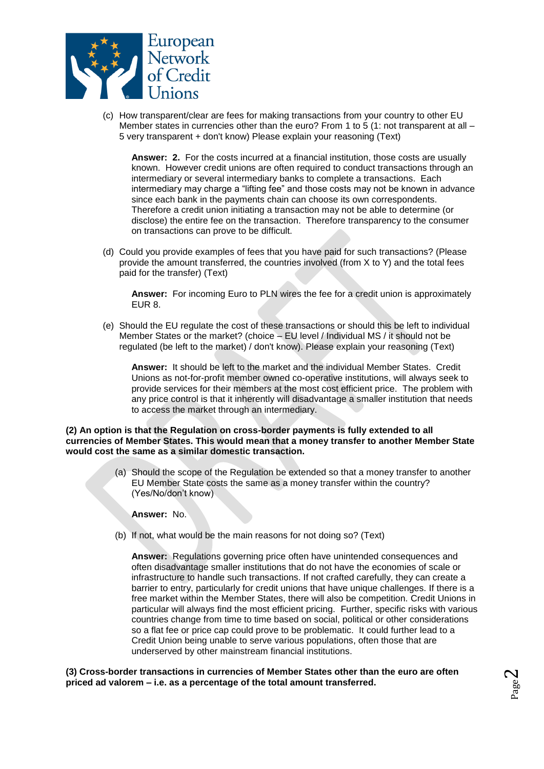

(c) How transparent/clear are fees for making transactions from your country to other EU Member states in currencies other than the euro? From 1 to 5 (1: not transparent at all – 5 very transparent + don't know) Please explain your reasoning (Text)

**Answer: 2.** For the costs incurred at a financial institution, those costs are usually known. However credit unions are often required to conduct transactions through an intermediary or several intermediary banks to complete a transactions. Each intermediary may charge a "lifting fee" and those costs may not be known in advance since each bank in the payments chain can choose its own correspondents. Therefore a credit union initiating a transaction may not be able to determine (or disclose) the entire fee on the transaction. Therefore transparency to the consumer on transactions can prove to be difficult.

(d) Could you provide examples of fees that you have paid for such transactions? (Please provide the amount transferred, the countries involved (from X to Y) and the total fees paid for the transfer) (Text)

**Answer:** For incoming Euro to PLN wires the fee for a credit union is approximately EUR 8.

(e) Should the EU regulate the cost of these transactions or should this be left to individual Member States or the market? (choice – EU level / Individual MS / it should not be regulated (be left to the market) / don't know). Please explain your reasoning (Text)

**Answer:** It should be left to the market and the individual Member States. Credit Unions as not-for-profit member owned co-operative institutions, will always seek to provide services for their members at the most cost efficient price. The problem with any price control is that it inherently will disadvantage a smaller institution that needs to access the market through an intermediary.

**(2) An option is that the Regulation on cross-border payments is fully extended to all currencies of Member States. This would mean that a money transfer to another Member State would cost the same as a similar domestic transaction.**

> (a) Should the scope of the Regulation be extended so that a money transfer to another EU Member State costs the same as a money transfer within the country? (Yes/No/don't know)

**Answer:** No.

(b) If not, what would be the main reasons for not doing so? (Text)

**Answer:** Regulations governing price often have unintended consequences and often disadvantage smaller institutions that do not have the economies of scale or infrastructure to handle such transactions. If not crafted carefully, they can create a barrier to entry, particularly for credit unions that have unique challenges. If there is a free market within the Member States, there will also be competition. Credit Unions in particular will always find the most efficient pricing. Further, specific risks with various countries change from time to time based on social, political or other considerations so a flat fee or price cap could prove to be problematic. It could further lead to a Credit Union being unable to serve various populations, often those that are underserved by other mainstream financial institutions.

**(3) Cross-border transactions in currencies of Member States other than the euro are often priced ad valorem – i.e. as a percentage of the total amount transferred.**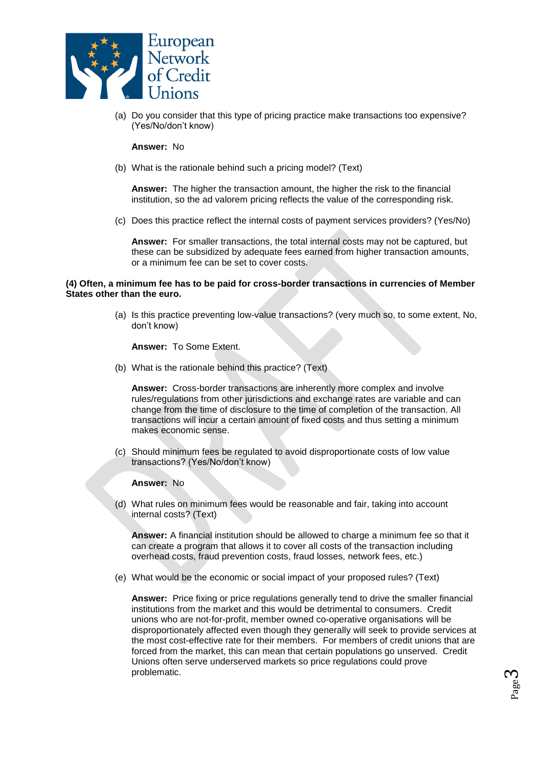

(a) Do you consider that this type of pricing practice make transactions too expensive? (Yes/No/don't know)

#### **Answer:** No

(b) What is the rationale behind such a pricing model? (Text)

**Answer:** The higher the transaction amount, the higher the risk to the financial institution, so the ad valorem pricing reflects the value of the corresponding risk.

(c) Does this practice reflect the internal costs of payment services providers? (Yes/No)

**Answer:** For smaller transactions, the total internal costs may not be captured, but these can be subsidized by adequate fees earned from higher transaction amounts, or a minimum fee can be set to cover costs.

#### **(4) Often, a minimum fee has to be paid for cross-border transactions in currencies of Member States other than the euro.**

(a) Is this practice preventing low-value transactions? (very much so, to some extent, No, don't know)

**Answer:** To Some Extent.

(b) What is the rationale behind this practice? (Text)

**Answer:** Cross-border transactions are inherently more complex and involve rules/regulations from other jurisdictions and exchange rates are variable and can change from the time of disclosure to the time of completion of the transaction. All transactions will incur a certain amount of fixed costs and thus setting a minimum makes economic sense.

(c) Should minimum fees be regulated to avoid disproportionate costs of low value transactions? (Yes/No/don't know)

#### **Answer:** No

(d) What rules on minimum fees would be reasonable and fair, taking into account internal costs? (Text)

**Answer:** A financial institution should be allowed to charge a minimum fee so that it can create a program that allows it to cover all costs of the transaction including overhead costs, fraud prevention costs, fraud losses, network fees, etc.)

(e) What would be the economic or social impact of your proposed rules? (Text)

**Answer:** Price fixing or price regulations generally tend to drive the smaller financial institutions from the market and this would be detrimental to consumers. Credit unions who are not-for-profit, member owned co-operative organisations will be disproportionately affected even though they generally will seek to provide services at the most cost-effective rate for their members. For members of credit unions that are forced from the market, this can mean that certain populations go unserved. Credit Unions often serve underserved markets so price regulations could prove problematic.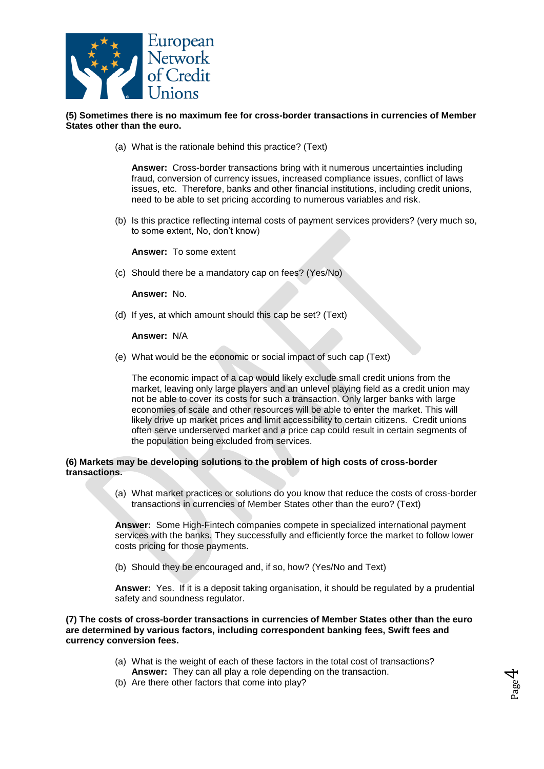

**(5) Sometimes there is no maximum fee for cross-border transactions in currencies of Member States other than the euro.** 

(a) What is the rationale behind this practice? (Text)

**Answer:** Cross-border transactions bring with it numerous uncertainties including fraud, conversion of currency issues, increased compliance issues, conflict of laws issues, etc. Therefore, banks and other financial institutions, including credit unions, need to be able to set pricing according to numerous variables and risk.

(b) Is this practice reflecting internal costs of payment services providers? (very much so, to some extent, No, don't know)

**Answer:** To some extent

(c) Should there be a mandatory cap on fees? (Yes/No)

**Answer:** No.

(d) If yes, at which amount should this cap be set? (Text)

**Answer:** N/A

(e) What would be the economic or social impact of such cap (Text)

The economic impact of a cap would likely exclude small credit unions from the market, leaving only large players and an unlevel playing field as a credit union may not be able to cover its costs for such a transaction. Only larger banks with large economies of scale and other resources will be able to enter the market. This will likely drive up market prices and limit accessibility to certain citizens. Credit unions often serve underserved market and a price cap could result in certain segments of the population being excluded from services.

#### **(6) Markets may be developing solutions to the problem of high costs of cross-border transactions.**

(a) What market practices or solutions do you know that reduce the costs of cross-border transactions in currencies of Member States other than the euro? (Text)

**Answer:** Some High-Fintech companies compete in specialized international payment services with the banks. They successfully and efficiently force the market to follow lower costs pricing for those payments.

(b) Should they be encouraged and, if so, how? (Yes/No and Text)

**Answer:** Yes. If it is a deposit taking organisation, it should be regulated by a prudential safety and soundness regulator.

**(7) The costs of cross-border transactions in currencies of Member States other than the euro are determined by various factors, including correspondent banking fees, Swift fees and currency conversion fees.** 

- (a) What is the weight of each of these factors in the total cost of transactions? **Answer:** They can all play a role depending on the transaction.
- (b) Are there other factors that come into play?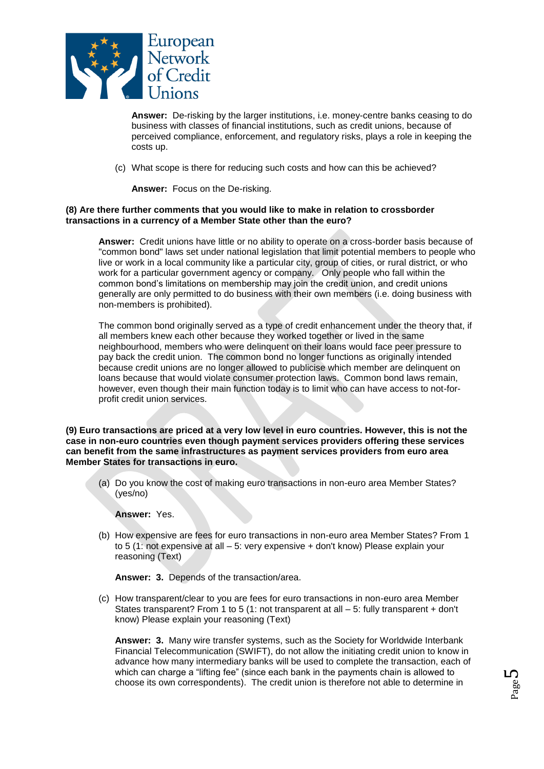

**Answer:** De-risking by the larger institutions, i.e. money-centre banks ceasing to do business with classes of financial institutions, such as credit unions, because of perceived compliance, enforcement, and regulatory risks, plays a role in keeping the costs up.

(c) What scope is there for reducing such costs and how can this be achieved?

**Answer:** Focus on the De-risking.

## **(8) Are there further comments that you would like to make in relation to crossborder transactions in a currency of a Member State other than the euro?**

**Answer:** Credit unions have little or no ability to operate on a cross-border basis because of "common bond" laws set under national legislation that limit potential members to people who live or work in a local community like a particular city, group of cities, or rural district, or who work for a particular government agency or company. Only people who fall within the common bond's limitations on membership may join the credit union, and credit unions generally are only permitted to do business with their own members (i.e. doing business with non-members is prohibited).

The common bond originally served as a type of credit enhancement under the theory that, if all members knew each other because they worked together or lived in the same neighbourhood, members who were delinquent on their loans would face peer pressure to pay back the credit union. The common bond no longer functions as originally intended because credit unions are no longer allowed to publicise which member are delinquent on loans because that would violate consumer protection laws. Common bond laws remain, however, even though their main function today is to limit who can have access to not-forprofit credit union services.

**(9) Euro transactions are priced at a very low level in euro countries. However, this is not the case in non-euro countries even though payment services providers offering these services can benefit from the same infrastructures as payment services providers from euro area Member States for transactions in euro.** 

(a) Do you know the cost of making euro transactions in non-euro area Member States? (yes/no)

**Answer:** Yes.

(b) How expensive are fees for euro transactions in non-euro area Member States? From 1 to 5 (1: not expensive at all – 5: very expensive + don't know) Please explain your reasoning (Text)

**Answer: 3.** Depends of the transaction/area.

(c) How transparent/clear to you are fees for euro transactions in non-euro area Member States transparent? From 1 to 5 (1: not transparent at all – 5: fully transparent + don't know) Please explain your reasoning (Text)

**Answer: 3.** Many wire transfer systems, such as the Society for Worldwide Interbank Financial Telecommunication (SWIFT), do not allow the initiating credit union to know in advance how many intermediary banks will be used to complete the transaction, each of which can charge a "lifting fee" (since each bank in the payments chain is allowed to choose its own correspondents). The credit union is therefore not able to determine in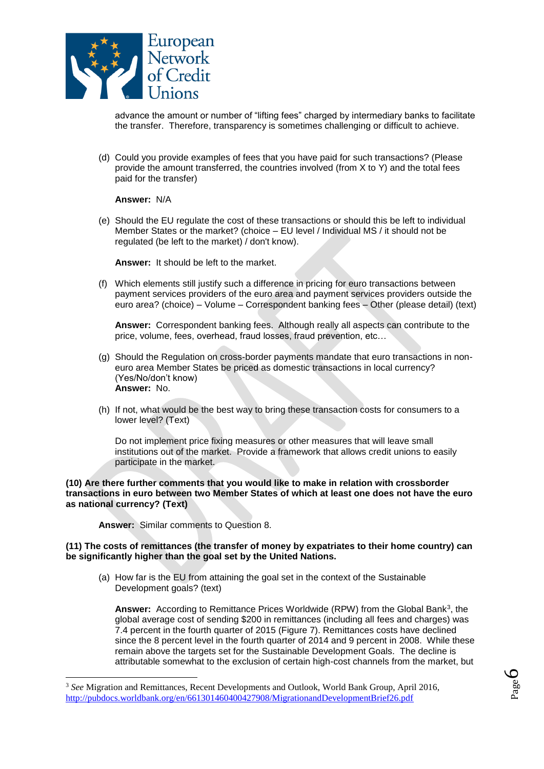

advance the amount or number of "lifting fees" charged by intermediary banks to facilitate the transfer. Therefore, transparency is sometimes challenging or difficult to achieve.

(d) Could you provide examples of fees that you have paid for such transactions? (Please provide the amount transferred, the countries involved (from X to Y) and the total fees paid for the transfer)

**Answer:** N/A

(e) Should the EU regulate the cost of these transactions or should this be left to individual Member States or the market? (choice – EU level / Individual MS / it should not be regulated (be left to the market) / don't know).

**Answer:** It should be left to the market.

(f) Which elements still justify such a difference in pricing for euro transactions between payment services providers of the euro area and payment services providers outside the euro area? (choice) – Volume – Correspondent banking fees – Other (please detail) (text)

**Answer:** Correspondent banking fees. Although really all aspects can contribute to the price, volume, fees, overhead, fraud losses, fraud prevention, etc…

- (g) Should the Regulation on cross-border payments mandate that euro transactions in noneuro area Member States be priced as domestic transactions in local currency? (Yes/No/don't know) **Answer:** No.
- (h) If not, what would be the best way to bring these transaction costs for consumers to a lower level? (Text)

Do not implement price fixing measures or other measures that will leave small institutions out of the market. Provide a framework that allows credit unions to easily participate in the market.

#### **(10) Are there further comments that you would like to make in relation with crossborder transactions in euro between two Member States of which at least one does not have the euro as national currency? (Text)**

**Answer:** Similar comments to Question 8.

l

#### **(11) The costs of remittances (the transfer of money by expatriates to their home country) can be significantly higher than the goal set by the United Nations.**

(a) How far is the EU from attaining the goal set in the context of the Sustainable Development goals? (text)

**Answer:** According to Remittance Prices Worldwide (RPW) from the Global Bank<sup>3</sup> , the global average cost of sending \$200 in remittances (including all fees and charges) was 7.4 percent in the fourth quarter of 2015 (Figure 7). Remittances costs have declined since the 8 percent level in the fourth quarter of 2014 and 9 percent in 2008. While these remain above the targets set for the Sustainable Development Goals. The decline is attributable somewhat to the exclusion of certain high-cost channels from the market, but

<sup>3</sup> *See* Migration and Remittances, Recent Developments and Outlook, World Bank Group, April 2016, <http://pubdocs.worldbank.org/en/661301460400427908/MigrationandDevelopmentBrief26.pdf>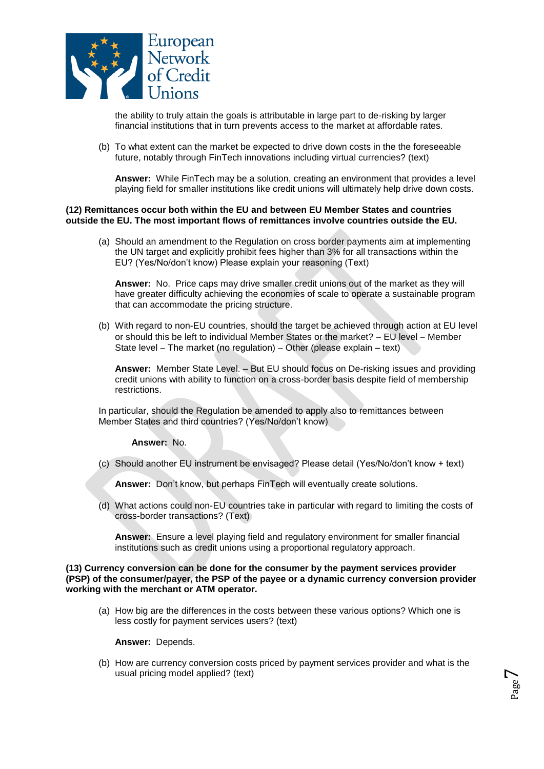

the ability to truly attain the goals is attributable in large part to de-risking by larger financial institutions that in turn prevents access to the market at affordable rates.

(b) To what extent can the market be expected to drive down costs in the the foreseeable future, notably through FinTech innovations including virtual currencies? (text)

**Answer:** While FinTech may be a solution, creating an environment that provides a level playing field for smaller institutions like credit unions will ultimately help drive down costs.

### **(12) Remittances occur both within the EU and between EU Member States and countries outside the EU. The most important flows of remittances involve countries outside the EU.**

(a) Should an amendment to the Regulation on cross border payments aim at implementing the UN target and explicitly prohibit fees higher than 3% for all transactions within the EU? (Yes/No/don't know) Please explain your reasoning (Text)

**Answer:** No. Price caps may drive smaller credit unions out of the market as they will have greater difficulty achieving the economies of scale to operate a sustainable program that can accommodate the pricing structure.

(b) With regard to non-EU countries, should the target be achieved through action at EU level or should this be left to individual Member States or the market?  $-$  EU level  $-$  Member State level  $-$  The market (no regulation)  $-$  Other (please explain  $-$  text)

**Answer:** Member State Level. – But EU should focus on De-risking issues and providing credit unions with ability to function on a cross-border basis despite field of membership restrictions.

In particular, should the Regulation be amended to apply also to remittances between Member States and third countries? (Yes/No/don't know)

**Answer:** No.

(c) Should another EU instrument be envisaged? Please detail (Yes/No/don't know + text)

**Answer:** Don't know, but perhaps FinTech will eventually create solutions.

(d) What actions could non-EU countries take in particular with regard to limiting the costs of cross-border transactions? (Text)

**Answer:** Ensure a level playing field and regulatory environment for smaller financial institutions such as credit unions using a proportional regulatory approach.

#### **(13) Currency conversion can be done for the consumer by the payment services provider (PSP) of the consumer/payer, the PSP of the payee or a dynamic currency conversion provider working with the merchant or ATM operator.**

(a) How big are the differences in the costs between these various options? Which one is less costly for payment services users? (text)

**Answer:** Depends.

(b) How are currency conversion costs priced by payment services provider and what is the usual pricing model applied? (text)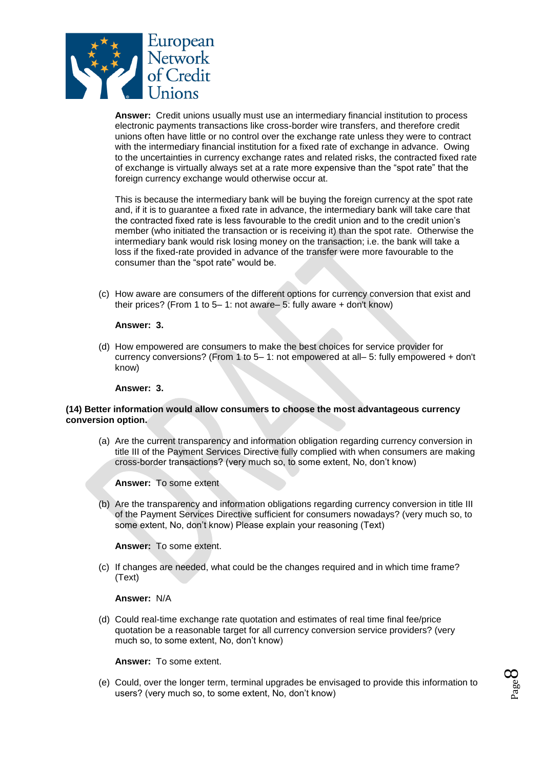

**Answer:** Credit unions usually must use an intermediary financial institution to process electronic payments transactions like cross-border wire transfers, and therefore credit unions often have little or no control over the exchange rate unless they were to contract with the intermediary financial institution for a fixed rate of exchange in advance. Owing to the uncertainties in currency exchange rates and related risks, the contracted fixed rate of exchange is virtually always set at a rate more expensive than the "spot rate" that the foreign currency exchange would otherwise occur at.

This is because the intermediary bank will be buying the foreign currency at the spot rate and, if it is to guarantee a fixed rate in advance, the intermediary bank will take care that the contracted fixed rate is less favourable to the credit union and to the credit union's member (who initiated the transaction or is receiving it) than the spot rate. Otherwise the intermediary bank would risk losing money on the transaction; i.e. the bank will take a loss if the fixed-rate provided in advance of the transfer were more favourable to the consumer than the "spot rate" would be.

(c) How aware are consumers of the different options for currency conversion that exist and their prices? (From 1 to 5– 1: not aware– 5: fully aware + don't know)

#### **Answer: 3.**

(d) How empowered are consumers to make the best choices for service provider for currency conversions? (From 1 to 5– 1: not empowered at all– 5: fully empowered + don't know)

### **Answer: 3.**

## **(14) Better information would allow consumers to choose the most advantageous currency conversion option.**

(a) Are the current transparency and information obligation regarding currency conversion in title III of the Payment Services Directive fully complied with when consumers are making cross-border transactions? (very much so, to some extent, No, don't know)

**Answer:** To some extent

(b) Are the transparency and information obligations regarding currency conversion in title III of the Payment Services Directive sufficient for consumers nowadays? (very much so, to some extent, No, don't know) Please explain your reasoning (Text)

**Answer:** To some extent.

(c) If changes are needed, what could be the changes required and in which time frame? (Text)

#### **Answer:** N/A

(d) Could real-time exchange rate quotation and estimates of real time final fee/price quotation be a reasonable target for all currency conversion service providers? (very much so, to some extent, No, don't know)

**Answer:** To some extent.

(e) Could, over the longer term, terminal upgrades be envisaged to provide this information to users? (very much so, to some extent, No, don't know)

Page  $\infty$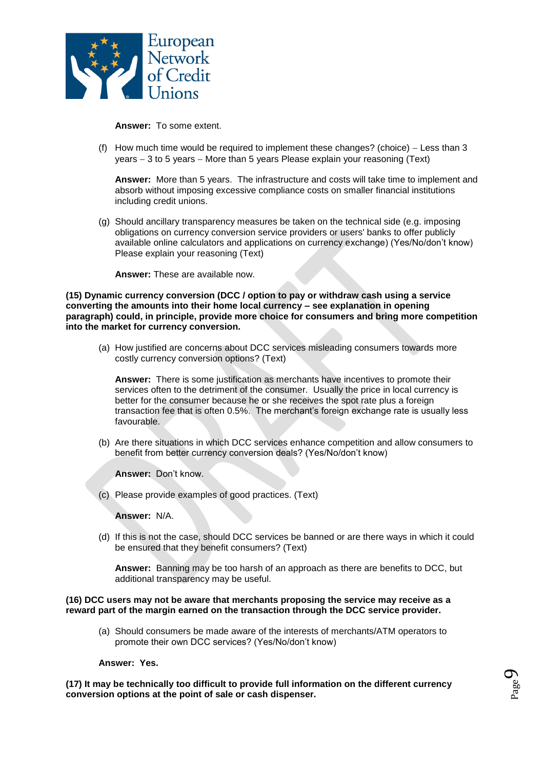

**Answer:** To some extent.

(f) How much time would be required to implement these changes? (choice)  $-$  Less than 3 years  $-3$  to 5 years  $-$  More than 5 years Please explain your reasoning (Text)

**Answer:** More than 5 years. The infrastructure and costs will take time to implement and absorb without imposing excessive compliance costs on smaller financial institutions including credit unions.

(g) Should ancillary transparency measures be taken on the technical side (e.g. imposing obligations on currency conversion service providers or users' banks to offer publicly available online calculators and applications on currency exchange) (Yes/No/don't know) Please explain your reasoning (Text)

**Answer:** These are available now.

**(15) Dynamic currency conversion (DCC / option to pay or withdraw cash using a service converting the amounts into their home local currency – see explanation in opening paragraph) could, in principle, provide more choice for consumers and bring more competition into the market for currency conversion.** 

(a) How justified are concerns about DCC services misleading consumers towards more costly currency conversion options? (Text)

**Answer:** There is some justification as merchants have incentives to promote their services often to the detriment of the consumer. Usually the price in local currency is better for the consumer because he or she receives the spot rate plus a foreign transaction fee that is often 0.5%. The merchant's foreign exchange rate is usually less favourable.

(b) Are there situations in which DCC services enhance competition and allow consumers to benefit from better currency conversion deals? (Yes/No/don't know)

**Answer:** Don't know.

(c) Please provide examples of good practices. (Text)

**Answer:** N/A.

(d) If this is not the case, should DCC services be banned or are there ways in which it could be ensured that they benefit consumers? (Text)

**Answer:** Banning may be too harsh of an approach as there are benefits to DCC, but additional transparency may be useful.

#### **(16) DCC users may not be aware that merchants proposing the service may receive as a reward part of the margin earned on the transaction through the DCC service provider.**

(a) Should consumers be made aware of the interests of merchants/ATM operators to promote their own DCC services? (Yes/No/don't know)

### **Answer: Yes.**

**(17) It may be technically too difficult to provide full information on the different currency conversion options at the point of sale or cash dispenser.**